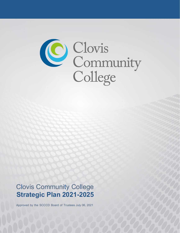

# Clovis Community College  **Strategic Plan 2021-2025**

Approved by the SCCCD Board of Trustees July 06, 2021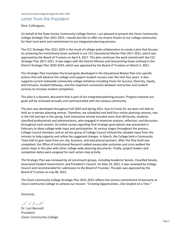# Letter from the President

Dear Colleagues,

On behalf of the State Center Community College District, I am pleased to present the Clovis Community College Strategic Plan 2021-2025. I would also like to offer my sincere thanks to our college community for their hard work and commitment to our integrated planning process.

The CCC Strategic Plan 2021-2025 is the result of college-wide collaboration to create a plan that focuses on achieving the Institutional Goals outlined in our CCC Educational Master Plan 2017-2021, which was approved by the Board of Trustees on April 4, 2017. This plan continues the work started with the CCC Strategic Plan 2017-2021. It also aligns with the District Mission and Overarching Goals outlined in the District Strategic Plan 2020-2024, which was approved by the Board of Trustees on March 2, 2021.

This Strategic Plan translates the broad goals developed in the Educational Master Plan into specific actions that will advance the college and support student success over the next four years. It also supports current statewide community college initiatives including Vision for Success, Diversity, Equity, and Inclusion, Guided Pathways, and the important connection between instruction and student services to increase student completion.

This plan is a dynamic document that is part of our integrated planning process. Progress towards our goals will be reviewed annually and communicated with the campus community.

The plan was developed throughout Fall 2020 and Spring 2021. Due to Covid-19, we were not able to hold an in-person planning retreat. Therefore, we scheduled and held four online planning retreats, two in the Fall and two in the spring. Each interactive retreat included more than 60 faculty, students, classified professionals and administrators, who engaged in extensive analysis, reflection, and discussion throughout each session. An online survey regarding final strategic goal options was presented in February to allow college-wide input and participation. At various stages throughout the process, College Council members and an ad hoc group of College Council utilized the valuable input from the retreats to help organize and refine the suggested changes. In March, the College held a Community Town Hall to gain input from our city, business, and educational partners. After the final draft was completed, the Office of Institutional Research added measurable outcomes and cross-walked the action steps in this plan with other college-wide planning documents. Finally, project leaders and completion dates were assigned for each action step activity.

The Strategic Plan was reviewed by all constituent groups, including Academic Senate, Classified Senate, Associated Student Government, and President's Council. On May 19, 2021, it was reviewed by College Council and recommended for submission to the Board of Trustees. The plan was approved by the Board of Trustees on July 06, 2021.

The Clovis Community College Strategic Plan 2021-2025 reflects the sincere commitment of everyone at Clovis Community College to achieve our mission: *"Creating Opportunities…One Student at a Time."*

Sincerely,

L. a. Bennett

Dr. Lori Bennett President Clovis Community College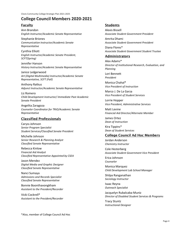# **College Council Members 2020-2021**

#### Faculty

Ann Brandon *English Instructor/Academic Senate Representative*

Stephanie Briones *Communication Instructor/Academic Senate Representative*

Cynthia Elliott *English Instructor/Academic Senate President, SCFT(Spring)*

Jennifer Hanson *History Instructor/Academic Senate Representative*

Janice Ledgerwood *Art (Digital Multimedia) Instructor/Academic Senate Representative, SCFT (Fall)*

Anthony Ratkus *Adjunct Instructor/Academic Senate Representative*

Liz Romero *Child Development Instructor/ Immediate Past Academic Senate President*

Angelita Zaragoza *Counselor Coordinator for TRiO/Academic Senate Representative*

# Classified Professionals

Caryss Johnson *Senior Program Specialist Student Services/Classified Senate President*

Michelle Johnson *Senior Research & Planning Analyst Classified Senate Representative*

Rebecca Kinlow *Financial Aid Analyst Classified Representative Appointed by CSEA*

Jason Mendez *Digital Media and Graphic Designer Classified Senate Representative*

Nanci Sumaya *Admissions and Records Specialist Classified Senate Representative*

Bonnie Boonthavongkham *Assistant to the President/Recorder*

Vicki Cockrell\* *Assistant to the President/Recorder*

#### **Students**

Alexis Bissell *Associate Student Government President*

Amrita Dhami *Associate Student Government President*

Diana Flores\* *Associate Student Government Student Trustee*

# Administrators

Alex Adams\* *Director of Institutional Research, Evaluation, and Planning*

Lori Bennett *President*

Monica Chahal\* *Vice President of Instruction*

Marco J. De La Garza *Vice President of Student Services*

Lorrie Hopper *Vice President, Administrative Services*

Matt Levine *Financial Aid Director/Alternate Member*

James Ortez *Dean of Instruction*

Kira Tippins\* *Dean of Student Services*

#### College Council Ad Hoc Members

Jordan Anderson *Chemistry Instructor*

Cole Hesterberg *Associate Student Government Vice President*

Erica Johnson *Counselor*

Monica Marquez *Child Development Lab School Manager*

Shilpa Ranganathan *Sociology Instructor*

Isaac Reyna *Outreach Specialist*

Jacquelyn Rubalcaba-Muniz *Director of Disabled Student Services & Programs*

Tracy Stuntz *Instructional Designer*

\*Also, member of College Council Ad Hoc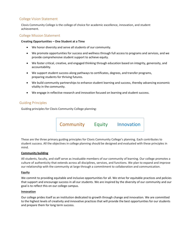#### College Vision Statement

Clovis Community College is the college of choice for academic excellence, innovation, and student achievement.

#### College Mission Statement

#### **Creating Opportunities – One Student at a Time**

- We honor diversity and serve all students of our community.
- We promote opportunities for success and wellness through full access to programs and services, and we provide comprehensive student support to achieve equity.
- We foster critical, creative, and engaged thinking through education based on integrity, generosity, and accountability.
- We support student success along pathways to certificates, degrees, and transfer programs, preparing students for thriving futures.
- We build community partnerships to enhance student learning and success, thereby advancing economic vitality in the community.
- We engage in reflective research and innovation focused on learning and student success.

#### Guiding Principles

Guiding principles for Clovis Community College planning:

Community Equity Innovation

These are the three primary guiding principles for Clovis Community College's planning. Each contributes to student success. All the objectives in college planning should be designed and evaluated with these principles in mind.

#### **Community building**

All students, faculty, and staff serve as invaluable members of our community of learning. Our college promotes a culture of authenticity that extends across all disciplines, services, and functions. We plan to expand and improve our relationship with the community at large through a commitment to collaboration and communication.

#### **Equity**

We commit to providing equitable and inclusive opportunities for all. We strive for equitable practices and policies that support and encourage success in all our students. We are inspired by the diversity of our community and our goal is to reflect this on our college campus.

#### **Innovation**

Our college prides itself as an institution dedicated to growth through change and innovation. We are committed to the highest levels of creativity and innovative practices that will provide the best opportunities for our students and prepare them for long term success.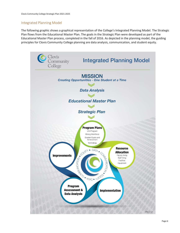# Integrated Planning Model

The following graphic shows a graphical representation of the College's Integrated Planning Model. The Strategic Plan flows from the Educational Master Plan. The goals in the Strategic Plan were developed as part of the Educational Master Plan process, completed in the fall of 2016. As depicted in the planning model, the guiding principles for Clovis Community College planning are data analysis, communication, and student equity.

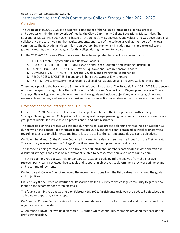# Clovis Community College Strategic Plan 2021-2025 Introduction to the Clovis Community College Strategic Plan 2021-2025

#### Overview

The Strategic Plan 2021-2025 is an essential component of the College's integrated planning process and operates within the framework defined by the Clovis Community College Educational Master Plan. The Educational Master Plan 2017-2027 is based on the college's mission, vision, and values, and was developed in a collaborative process involving the faculty, students, and staff of the college as well as members of the local community. The Educational Master Plan is an overarching plan which includes internal and external scans, growth forecasts, and six broad goals for the college during the next ten years.

For the 2021-2025 Strategic Plan, the six goals have been updated to reflect our current focus:

- 1. ACCESS: Create Opportunities and Remove Barriers
- 2. STUDENT-CENTERED CURRICULUM: Develop and Teach Equitable and Inspiring Curriculum
- 3. SUPPORTING STUDENT SUCCESS: Provide Equitable and Comprehensive Services
- 4. COMMUNITY & PARTNERSHIPS: Create, Develop, and Strengthen Relationships
- 5. RESOURCES & FACILITIES: Expand and Enhance the Campus Environment
- 6. INSTITUTIONAL EFFECTIVENESS: Foster a Collegial, Collaborative, and Inclusive College Environment

These goals provide the basis for the Strategic Plan's overall structure. The Strategic Plan 2021-2025 is the second of three four-year strategic plans that will cover the Educational Master Plan's 10-year planning cycle. These Strategic Plans will guide the college in meeting these goals and include objectives, action steps, timelines, measurable outcomes, and leaders responsible for ensuring actions are taken and outcomes are monitored.

#### Development of the Strategic Plan 2021-2025

In the Fall of 2020, President Dr. Lori Bennett charged members of the College Council with leading the Strategic Planning process. College Council is the highest college governing body, and includes a representative group of students, faculty, classified professionals, and administrators.

The strategic planning process was initiated during the college strategic planning retreat, held on October 23, during which the concept of a strategic plan was discussed, and participants engaged in initial brainstorming regarding gaps, accomplishments, and future ideas related to the current strategic goals and objectives.

On November 6 and 13, the College Council ad hoc met to review and summarize input from the first retreat. This summary was reviewed by College Council and used to help plan the second retreat.

The second planning retreat was held on November 20, 2020 and members participated in data analysis and discussed strengths and areas of improvement related to access, retention, and award completion.

The third planning retreat was held on January 19, 2021 and building off the analysis from the first two retreats, participants reviewed the six goals and supporting objectives to determine if they were still relevant and recommend revisions.

On February 4, College Council reviewed the recommendations from the third retreat and refined the goals and objectives.

On February 8, the Office of Institutional Research emailed a survey to the college community to gather final input on the recommended strategic goals.

The fourth planning retreat was held on February 19, 2021. Participants reviewed the updated objectives and added new supporting action steps.

On March 4, College Council reviewed the recommendations from the fourth retreat and further refined the objectives and action steps.

A Community Town Hall was held on March 10, during which community members provided feedback on the draft strategic plan.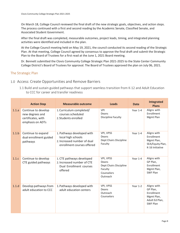On March 18, College Council reviewed the final draft of the new strategic goals, objectives, and action steps. The process continued with a first and second reading by the Academic Senate, Classified Senate, and Associated Student Government.

After the final draft was completed, measurable outcomes, project leads, timing, and integrated planning activities were identified and included in the plan.

At the College Council meeting held on May 19, 2021, the council conducted its second reading of the Strategic Plan. At that meeting, College Council agreed by consensus to approve the final draft and submit the Strategic Plan to the Board of Trustees for a first read at the June 1, 2021 Board meeting.

Dr. Bennett submitted the Clovis Community College Strategic Plan 2021-2025 to the State Center Community College District's Board of Trustees for approval. The Board of Trustees approved the plan on July 06, 2021.

#### The Strategic Plan

## 1.0 Access: Create Opportunities and Remove Barriers

1.1 Build and sustain guided pathways that support seamless transition from K-12 and Adult Education to CCC for career and transfer readiness

|       | <b>Action Step</b>                                                               | <b>Measurable outcome</b>                                                                                     | Leads                                                                             | <b>Date</b> | <b>Integrated</b><br><b>Plans</b>                                                        |
|-------|----------------------------------------------------------------------------------|---------------------------------------------------------------------------------------------------------------|-----------------------------------------------------------------------------------|-------------|------------------------------------------------------------------------------------------|
| 1.1.a | Continue to develop<br>new degrees and<br>certificates, with<br>emphasis on ADTs | 1. Curriculum completed/<br>courses scheduled<br>2. Students enrolled                                         | <b>VPI</b><br>Deans<br><b>Discipline Faculty</b>                                  | Year 1-4    | Aligns with<br>Enrollment<br>Mgmt Plan                                                   |
| 1.1.b | Continue to expand<br>dual enrollment guided<br>pathways                         | 1. Pathways developed with<br>local high schools<br>2. Increased number of dual<br>enrollment courses offered | VPI, VPSS<br>Deans<br>Dept Chairs Discipline<br>Faculty                           | Year 1-4    | Aligns with<br>Enrollment<br>Mgmt Plan,<br>SEA/Equity Plan,<br>K-16 Initiative           |
| 1.1.c | Continue to develop<br>CTE guided pathways                                       | 1. CTE pathways developed<br>2. Increased number of CTE<br>Dual Enrollment courses<br>offered                 | VPI, VPSS<br>Deans<br>Dept Chairs Discipline<br>Faculty<br>Counselors<br>Outreach | Year 1-4    | Aligns with<br>GP Plan,<br>Enrollment<br>Mgmt Plan,<br><b>SWF Plan</b>                   |
| 1.1.d | Develop pathways from<br>adult education to CCC                                  | 1. Pathways developed with<br>adult education centers                                                         | VPI, VPSS<br>Deans<br>Outreach<br>Counselors                                      | Year 1-2    | Aligns with<br>GP Plan,<br>Enrollment<br>Mgmt Plan,<br>Adult Ed Plan,<br><b>SWF Plan</b> |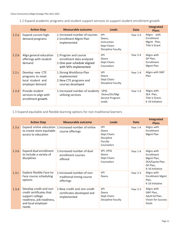1.2 Expand academic programs and student support services to support student enrollment growth

|       | <b>Action Step</b>                                                          | Measurable outcome                                                                                         | <b>Leads</b>                                                             | <b>Date</b> | <b>Integrated</b><br><b>Plans</b>                             |
|-------|-----------------------------------------------------------------------------|------------------------------------------------------------------------------------------------------------|--------------------------------------------------------------------------|-------------|---------------------------------------------------------------|
| 1.2.a | Expand current high-<br>demand programs                                     | 1. Increased number of courses<br>2. Enrollment Mgmt Plan<br>implemented                                   | <b>VPI</b><br>Deans,<br>Instruction<br>Dept Chairs<br>Discipline Faculty | Year 2-4    | Aligns with<br>Enrollment<br>Mgmt Plan,<br>Title V Grant      |
| 1.2.b | Align general education<br>offerings with student<br>demand                 | 1. Program and course<br>enrollment data analyzed<br>2. One-year schedule aligned<br>with SEPs implemented | <b>VPI</b><br>Deans<br>Dept Chairs<br>Counselors                         | Year 2-4    | Aligns with<br>GP Plan,<br>Enrollment<br>Mgmt Plan            |
| 1.2.c | Develop new CTE<br>programs to meet<br>local student and<br>employer demand | 1. Strong Workforce Plan<br>implemented<br>2. New CTE programs and<br>courses developed                    | <b>VPI</b><br>Deans<br>Dept Chairs<br>Discipline Faculty                 | Year 1-4    | Aligns with SWF<br>Plan                                       |
| 1.2.d | Provide student<br>services to align with<br>enrollment growth.             | 1. Increased number of students<br>utilizing services                                                      | <b>VPSS</b><br>Deans/Dir/Mgr<br>Service Program<br>Leads                 | Year 1-4    | Aligns with<br>SEA Plan,<br>Title V Grant,<br>K-16 Initiative |

# 1.3 Expand equitable and flexible learning options for non-traditional learners

|       | <b>Action Step</b>                                                                                                                 | Measurable outcome                                                        | <b>Leads</b>                                                              | <b>Date</b> | <b>Integrated</b><br><b>Plans</b>                                                                 |
|-------|------------------------------------------------------------------------------------------------------------------------------------|---------------------------------------------------------------------------|---------------------------------------------------------------------------|-------------|---------------------------------------------------------------------------------------------------|
| 1.3.a | Expand online education<br>to create more equitable<br>access to education                                                         | 1. Increased number of online<br>course offerings                         | <b>VPI</b><br>Deans<br>Dept Chairs<br>Discipline<br>Faculty<br>Counselors | Year 1-4    | Aligns with<br>Enrollment<br>Mgmt Plan                                                            |
| 1.3.b | Expand dual enrollment<br>to include a variety of<br>disciplines                                                                   | 1. Increased number of dual<br>enrollment courses<br>offered              | VPI, VPSS<br>Deans<br>Dept Chairs<br>Counselors                           | Year $1-4$  | Aligns with<br><b>Fnrollment</b><br>Mgmt Plan,<br>SEA/Equity Plan,<br>GP Plan,<br>K-16 Initiative |
| 1.3.c | Explore flexible Face-to-<br>Face course scheduling<br>options                                                                     | 1. Increased number of non-<br>traditional timing course<br>offerings     | <b>VPI</b><br>Deans                                                       | Year $2-3$  | Aligns with<br><b>Enrollment Mgmt</b><br>Plan,<br>K-16 Initiative                                 |
| 1.3.d | Develop credit and non-<br>credit certificates that<br>support college<br>readiness, job readiness,<br>and local employer<br>needs | 1. New credit and non-credit<br>certificates developed and<br>implemented | <b>VPI</b><br>Deans<br>Dept Chairs<br><b>Discipline Faculty</b>           | Year 2-3    | Aligns with<br>SWF Plan,<br>Adult Ed Plan,<br>Vision for Success<br>Goals                         |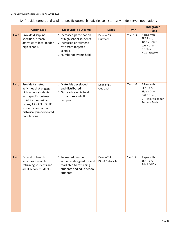1.4 Provide targeted, discipline specific outreach activities to historically underserved populations

|       | <b>Action Step</b>                                                                                                                                                                                                | <b>Measurable outcome</b>                                                                                                                     | <b>Leads</b>                  | <b>Date</b> | Integrated<br><b>Plans</b>                                                                               |
|-------|-------------------------------------------------------------------------------------------------------------------------------------------------------------------------------------------------------------------|-----------------------------------------------------------------------------------------------------------------------------------------------|-------------------------------|-------------|----------------------------------------------------------------------------------------------------------|
| 1.4.a | Provide discipline<br>specific outreach<br>activities at local feeder<br>high schools                                                                                                                             | 1. Increased participation<br>of high school students<br>2. Increased enrollment<br>rate from targeted<br>schools<br>3. Number of events held | Dean of SS<br>Outreach        | Year 1-4    | Aligns with<br>SEA Plan,<br>Title V Grant,<br>CAPP Grant,<br>GP Plan,<br>K-16 Initiative                 |
| 1.4.b | Provide targeted<br>activities that engage<br>high school students,<br>with specific outreach<br>to African American,<br>Latinx, AANAPI, LGBTQ+<br>students, and other<br>historically underserved<br>populations | 1. Materials developed<br>and distributed<br>2. Outreach events held<br>on campus and off<br>campus                                           | Dean of SS<br>Outreach        | Year 1-4    | Aligns with<br>SEA Plan,<br>Title V Grant,<br>CAPP Grant,<br>GP Plan, Vision for<br><b>Success Goals</b> |
| 1.4.c | Expand outreach<br>activities to reach<br>returning students and<br>adult school students                                                                                                                         | 1. Increased number of<br>activities designed for and<br>marketed to returning<br>students and adult school<br>students                       | Dean of SS<br>Dir of Outreach | Year 1-4    | Aligns with<br>SEA Plan,<br>Adult Ed Plan                                                                |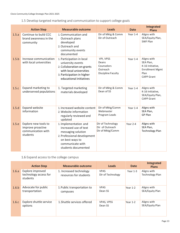1.5 Develop targeted marketing and communication to support college goals

|       | <b>Action Step</b>                                                          | <b>Measurable outcome</b>                                                                                                                                         | <b>Leads</b>                                                              | <b>Date</b> | Integrated<br><b>Plans</b>                                                                          |
|-------|-----------------------------------------------------------------------------|-------------------------------------------------------------------------------------------------------------------------------------------------------------------|---------------------------------------------------------------------------|-------------|-----------------------------------------------------------------------------------------------------|
| 1.5.a | Continue to build CCC<br>brand awareness in the<br>community                | 1. Communication and<br>Outreach plans<br>developed<br>2. Outreach and<br>community events<br>documented                                                          | Dir of Mktg & Comm<br>Dir of Outreach                                     | Year 1-4    | Aligns with<br>SEA/Equity Plan,<br>SWF Plan                                                         |
| 1.5.b | Increase communication<br>with local universities                           | 1. Participation in local<br>university events<br>2. Collaboration on grants<br>with local universities<br>3. Participation in higher<br>educational initiatives  | VPI, VPSS<br>Deans<br>Counselors<br>Outreach<br><b>Discipline Faculty</b> | Year 1-4    | Aligns with<br>SEA Plan,<br>K-16 Initiative,<br><b>Enrollment Mgmt</b><br>Plan<br><b>CAPP Grant</b> |
| 1.5.c | Expand marketing to<br>underserved populations                              | 1. Targeted marketing<br>materials developed                                                                                                                      | Dir of Mktg & Comm<br>Dean of SS                                          | Year 1-4    | Aligns with<br>K-16 Initiative,<br>SEA/Equity Plan,<br><b>CAPP Grant</b>                            |
| 1.5.d | <b>Expand website</b><br>information                                        | 1. Increased website content<br>2. Website information<br>regularly reviewed and<br>updated                                                                       | Dir of Mktg/Comm<br>Webmaster<br>Program Leads                            | Year 1-4    | Aligns with<br>SEA Plan,<br><b>GP Plan</b>                                                          |
| 1.5.e | Explore new tools to<br>improve proactive<br>communication with<br>students | 1. Implementation and<br>increased use of text<br>messaging solution<br>2. Professional development<br>on best ways to<br>communicate with<br>students documented | Dir of Technology<br>Dir of Outreach<br>Dir of Mktg/Comm                  | Year 2-4    | Aligns with<br>SEA Plan,<br><b>Technology Plan</b>                                                  |

1.6 Expand access to the college campus

|       | <b>Action Step</b>                                    | <b>Measurable outcome</b>                         | <b>Leads</b>                     | <b>Date</b> | Integrated<br><b>Plans</b>            |
|-------|-------------------------------------------------------|---------------------------------------------------|----------------------------------|-------------|---------------------------------------|
| 1.6.a | Explore improved<br>technology access for<br>students | 1. Increased technology<br>resources for students | <b>VPAS</b><br>Dir of Technology | Year $1-3$  | Aligns with<br><b>Technology Plan</b> |
| 1.6.b | Advocate for public<br>transportation                 | 1. Public transportation to<br>campuses           | <b>VPAS</b><br>Dean SS           | Year 1-2    | Aligns with<br>SEA/Equity Plan        |
| 1.6.c | Explore shuttle service<br>options                    | 1. Shuttle services offered                       | <b>VPAS, VPSS</b><br>Dean SS     | Year 1-2    | Aligns with<br>SEA/Equity Plan        |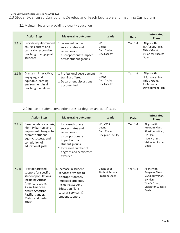# 2.0 Student-Centered Curriculum: Develop and Teach Equitable and Inspiring Curriculum

2.1 Maintain focus on providing a quality education

|       | <b>Action Step</b>                                                                                         | <b>Measurable outcome</b>                                                                                     | <b>Leads</b>                                       | <b>Date</b> | Integrated<br><b>Plans</b>                                                              |
|-------|------------------------------------------------------------------------------------------------------------|---------------------------------------------------------------------------------------------------------------|----------------------------------------------------|-------------|-----------------------------------------------------------------------------------------|
| 2.1.a | Provide equity-minded<br>course content and<br>culturally responsive<br>teaching to engage all<br>students | 1. Increased course<br>success rates and<br>reductions in<br>disproportionate impact<br>across student groups | <b>VPI</b><br>Deans<br>Dept Chairs<br>Disc Faculty | Year 1-4    | Aligns with<br>SEA/Equity Plan,<br>Title V Grant,<br><b>Vision for Success</b><br>Goals |
| 2.1.b | Create an interactive,<br>engaging, and<br>equitable learning<br>environment in all<br>teaching modalities | 1. Professional development<br>training offered<br>2. Department discussions<br>documented                    | <b>VPI</b><br>Deans<br>Dept Chairs<br>Disc Faculty | Year 1-4    | Aligns with<br>SEA/Equity Plan,<br>Title V Grant,<br>Professional<br>Development Plan   |

# 2.2 Increase student completion rates for degrees and certificates

|       | <b>Action Step</b>                                                                                                                                                                                   | <b>Measurable outcome</b>                                                                                                                                                             | <b>Leads</b>                                                   | <b>Date</b> | Integrated<br><b>Plans</b>                                                                                     |
|-------|------------------------------------------------------------------------------------------------------------------------------------------------------------------------------------------------------|---------------------------------------------------------------------------------------------------------------------------------------------------------------------------------------|----------------------------------------------------------------|-------------|----------------------------------------------------------------------------------------------------------------|
| 2.2.a | Based on data analysis,<br>identify barriers and<br>implement changes to<br>promote student<br>equity, success, and<br>completion of<br>educational goals                                            | 1. Increased course<br>success rates and<br>reductions in<br>disproportionate<br>impact across<br>student groups<br>2. Increased number of<br>degrees and certificates<br>awarded     | VPI, VPSS<br>Deans<br>Dept Chairs<br><b>Discipline Faculty</b> | Year $1-4$  | Aligns with<br>Program Plans,<br>SEA/Equity Plan,<br>GP Plan,<br>Title V Grant,<br>Vision for Success<br>Goals |
| 2.2.b | Provide targeted<br>support for specific<br>student populations,<br>including African<br>American, Latinx,<br>Asian American,<br>Native American,<br>Pacific Islander,<br>Males, and Foster<br>Youth | 1. Increase in student<br>services provided to<br>disproportionately<br>impacted students,<br>including Student<br><b>Education Plans,</b><br>tutorial services, &<br>student support | Deans of SS<br><b>Student Service</b><br>Program Leads         | Year 1-4    | Aligns with<br>Program Plans,<br>SEA/Equity Plan,<br>GP Plan.<br>Title V Grant,<br>Vision for Success<br>Goals |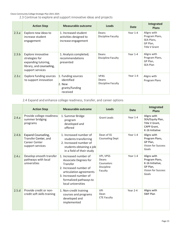#### Clovis Community College Strategic Plan 2021-2025

2.3 Continue to explore and support innovative ideas and projects

|       | <b>Action Step</b>                                                                                          | <b>Measurable outcome</b>                                                  | Leads                                      | <b>Date</b> | Integrated<br><b>Plans</b>                                               |
|-------|-------------------------------------------------------------------------------------------------------------|----------------------------------------------------------------------------|--------------------------------------------|-------------|--------------------------------------------------------------------------|
| 2.3.a | Explore new ideas to<br>increase student<br>engagement                                                      | 1. Increased student<br>activities designed to<br>increase engagement      | Deans<br>Discipline Faculty                | Year 1-4    | Aligns with<br>Program Plans,<br>SEA Plans,<br>GP Plan,<br>Title V Grant |
| 2.3.b | Explore innovative<br>strategies for<br>expanding tutoring,<br>library, and counseling,<br>support services | 1. Analysis completed;<br>recommendations<br>presented                     | Deans<br>Discipline Faculty                | Year $1-4$  | Aligns with<br>Program Plans,<br>GP Plan,<br><b>SEA Plan</b>             |
| 2.3.c | <b>Explore funding sources</b><br>to support innovation                                                     | 1. Funding sources<br>identified<br>$2.$ New<br>grants/funding<br>received | <b>VPAS</b><br>Deans<br>Discipline Faculty | Year 1-4    | Aligns with<br>Program Plans                                             |

#### 2.4 Expand and enhance college readiness, transfer, and career options

|       | <b>Action Step</b>                                                                            | <b>Measurable outcome</b>                                                                                                                                                                  | Leads                                                     | <b>Date</b> | Integrated<br><b>Plans</b>                                                                   |
|-------|-----------------------------------------------------------------------------------------------|--------------------------------------------------------------------------------------------------------------------------------------------------------------------------------------------|-----------------------------------------------------------|-------------|----------------------------------------------------------------------------------------------|
| 2.4.a | Provide college-readiness<br>summer bridging<br>programs                                      | 1. Summer Bridge<br>program<br>developed and<br>offered                                                                                                                                    | <b>Grant Leads</b>                                        | Year $1-4$  | Aligns with<br>SEA/Equity Plan,<br>Title V Grant,<br>CAPP Grant,<br>K-16 Initiative          |
| 2.4.b | <b>Expand Counseling,</b><br>Transfer Center, and<br><b>Career Center</b><br>support services | 1. Increased number of<br>students transferring<br>2. Increased number of<br>students obtaining a job<br>in a field of their study                                                         | Dean of SS<br><b>Counseling Dept</b>                      | Year 1-4    | Aligns with<br>Program Plans,<br>GP Plan,<br><b>Vision for Success</b><br>Goals              |
| 2.4.c | Develop smooth transfer<br>pathways with local<br>universities                                | 1. Increased number of<br>Associate Degrees for<br>Transfer<br>2. Increased number of<br>articulation agreements<br>3. Increased number of<br>formalized pathways to<br>local universities | VPI, VPSS<br>Deans<br>Counselors<br>Discipline<br>Faculty | Year 1-4    | Aligns with<br>Program Plans,<br>K-16 Initiative,<br>GP Plan,<br>Vision for Success<br>Goals |
| 2.5.d | Provide credit or non-<br>credit soft skills training                                         | 1. Non-credit training<br>courses and programs<br>developed and<br>implemented                                                                                                             | VPI<br>Dean<br><b>CTE Faculty</b>                         | Year 2-4    | Aligns with<br><b>SWF Plan</b>                                                               |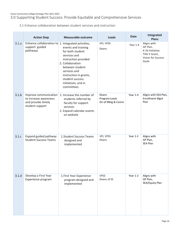3.1 Enhance collaboration between student services and instruction

|       | <b>Action Step</b>                                                                      | <b>Measurable outcome</b>                                                                                                                                                                                                | Leads                                        | <b>Date</b> | Integrated<br><b>Plans</b>                                                                   |
|-------|-----------------------------------------------------------------------------------------|--------------------------------------------------------------------------------------------------------------------------------------------------------------------------------------------------------------------------|----------------------------------------------|-------------|----------------------------------------------------------------------------------------------|
| 3.1.a | Enhance collaboration to $1$ . Integrated activities,<br>support guided<br>pathways     | events and training<br>for both student<br>services and<br>instruction provided<br>2. Collaboration<br>between student<br>services and<br>instruction in grants,<br>student success<br>initiatives, and in<br>committees | VPI, VPSS<br>Deans                           | Year 1-4    | Aligns with<br>GP Plan,<br>K-16 Initiative,<br>Title V Grant,<br>Vision for Success<br>Goals |
| 3.1.b | Improve communication<br>to increase awareness<br>and provide timely<br>student support | 1. Increase the number of<br>students referred by<br>faculty for support<br>services<br>2. Expand calendar events<br>on website                                                                                          | Deans<br>Program Leads<br>Dir of Mktg & Comm | Year 1-4    | Aligns with SEA Plan,<br><b>Enrollment Mgnt</b><br>Plan                                      |
| 3.1.c | Expand guided pathway<br><b>Student Success Teams</b>                                   | 1. Student Success Teams<br>designed and<br>implemented                                                                                                                                                                  | VPI, VPSS<br>Deans                           | Year 1-2    | Aligns with<br>GP Plan,<br>SEA Plan                                                          |
| 3.1.d | Develop a First Year<br>Experience program                                              | 1. First Year Experience<br>program designed and<br>implemented                                                                                                                                                          | <b>VPSS</b><br>Deans of SS                   | Year 1-2    | Aligns with<br>GP Plan,<br>SEA/Equity Plan                                                   |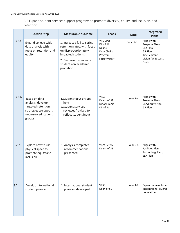3.2 Expand student services support programs to promote diversity, equity, and inclusion, and retention

|       | <b>Action Step</b>                                                                                                 | <b>Measurable outcome</b>                                                                                                                                               | <b>Leads</b>                                                               | <b>Date</b> | Integrated<br><b>Plans</b>                                                                                    |
|-------|--------------------------------------------------------------------------------------------------------------------|-------------------------------------------------------------------------------------------------------------------------------------------------------------------------|----------------------------------------------------------------------------|-------------|---------------------------------------------------------------------------------------------------------------|
| 3.2.a | Expand college-wide<br>data analysis with<br>focus on retention and<br>equity                                      | 1. Increased fall to spring<br>retention rates, with focus<br>on disproportionately<br>impacted students<br>2. Decreased number of<br>students on academic<br>probation | VPI, VPSS<br>Dir of IR<br>Deans<br>Dept Chairs<br>Program<br>Faculty/Staff | Year 1-4    | Aligns with<br>Program Plans,<br>SEA Plan,<br>GP Plan<br>Title V Grant,<br><b>Vision for Success</b><br>Goals |
| 3.2.b | Based on data<br>analysis, develop<br>targeted retention<br>strategies to support<br>underserved student<br>groups | 1. Student focus groups<br>held<br>2. Student services<br>reviewed/revised to<br>reflect student input                                                                  | <b>VPSS</b><br>Deans of SS<br>Dir of Fin Aid<br>Dir of IR                  | Year 1-4    | Aligns with<br>Program Plans,<br>SEA/Equity Plan,<br>GP Plan                                                  |
| 3.2.c | Explore how to use<br>physical space to<br>promote equity and<br>inclusion                                         | 1. Analysis completed;<br>recommendations<br>presented                                                                                                                  | VPAS, VPSS<br>Deans of SS                                                  | Year 2-4    | Aligns with<br>Facilities Plan,<br>Technology Plan,<br><b>SEA Plan</b>                                        |
| 3.2.d | Develop international<br>student program                                                                           | 1. International student<br>program developed                                                                                                                           | <b>VPSS</b><br>Dean of SS                                                  | Year 1-2    | Expand access to an<br>international diverse<br>population                                                    |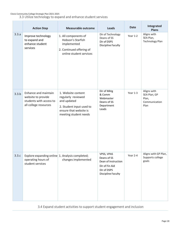Clovis Community College Strategic Plan 2021-2025

3.3 Utilize technology to expand and enhance student services

|       | <b>Action Step</b>                                                                             | <b>Measurable outcome</b>                                                                                                              | <b>Leads</b>                                                                                            | <b>Date</b> | Integrated<br><b>Plans</b>                                    |
|-------|------------------------------------------------------------------------------------------------|----------------------------------------------------------------------------------------------------------------------------------------|---------------------------------------------------------------------------------------------------------|-------------|---------------------------------------------------------------|
| 3.3.a | Improve technology<br>to expand and<br>enhance student<br>services                             | 1. All components of<br>Hobson's Starfish<br>implemented<br>2. Continued offering of<br>online student services                        | Dir of Technology<br>Deans of SS<br>Dir of DSPS<br>Discipline Faculty                                   | Year 1-2    | Aligns with<br>SEA Plan,<br><b>Technology Plan</b>            |
| 3.3.b | Enhance and maintain<br>website to provide<br>students with access to<br>all college resources | 1. Website content<br>regularly reviewed<br>and updated<br>2. Student input used to<br>ensure that website is<br>meeting student needs | Dir of Mktg<br>& Comm<br>Webmaster<br>Deans of SS<br>Department<br>Leads                                | Year 1-3    | Aligns with<br>SEA Plan, GP<br>Plan,<br>Communication<br>Plan |
| 3.3.c | Explore expanding online 1. Analysis completed;<br>operating hours of<br>student services      | changes implemented                                                                                                                    | VPSS, VPAS<br>Deans of SS<br>Dean of Instruction<br>Dir of Fin Aid<br>Dir of DSPS<br>Discipline Faculty | Year 2-4    | Aligns with GP Plan,<br>Supports college<br>goals             |

3.4 Expand student activities to support student engagement and inclusion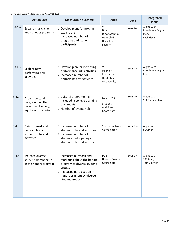|       | <b>Action Step</b>                                                                         | <b>Measurable outcome</b>                                                                                                                                                       | Leads                                                                           | <b>Date</b> | Integrated<br><b>Plans</b>                                               |
|-------|--------------------------------------------------------------------------------------------|---------------------------------------------------------------------------------------------------------------------------------------------------------------------------------|---------------------------------------------------------------------------------|-------------|--------------------------------------------------------------------------|
| 3.4.a | Expand music, choir,<br>and athletics programs                                             | 1. Develop plans for program<br>expansions<br>2. Increased number of<br>programs and student<br>participants                                                                    | <b>VPI</b><br>Deans<br>Dir of Athletics<br>Dept Chairs<br>Discipline<br>Faculty | Year 2-4    | Aligns with<br><b>Enrollment Mgmt</b><br>Plan,<br><b>Facilities Plan</b> |
| 3.4.b | Explore new<br>performing arts<br>activities                                               | 1. Develop plan for increasing<br>performance arts activities<br>2. Increased number of<br>performing arts activities                                                           | VPI<br>Dean of<br>Instruction<br>Dept Chair<br><b>Disc Faculty</b>              | Year 1-4    | Aligns with<br><b>Enrollment Mgmt</b><br>Plan                            |
| 3.4.c | <b>Expand cultural</b><br>programming that<br>promotes diversity,<br>equity, and inclusion | 1. Cultural programming<br>included in college planning<br>documents<br>2. Number of events held                                                                                | Dean of SS<br>Student<br><b>Activities</b><br>Coordinator                       | Year 1-4    | Aligns with<br>SEA/Equity Plan                                           |
| 3.4.d | <b>Build interest and</b><br>participation in<br>student clubs and<br>activities           | 1. Increased number of<br>student clubs and activities<br>2. Increased number of<br>students participating in<br>student clubs and activities                                   | <b>Student Activities</b><br>Coordinator                                        | Year 1-4    | Aligns with<br><b>SEA Plan</b>                                           |
| 3.4.e | Increase diverse<br>student membership<br>in the honors program                            | 1. Increased outreach and<br>marketing about the honors<br>program to diverse student<br>groups<br>2. Increased participation in<br>honors program by diverse<br>student groups | Dean<br><b>Honors Faculty</b><br>Counselors                                     | Year 1-4    | Aligns with<br>SEA Plan,<br><b>Title V Grant</b>                         |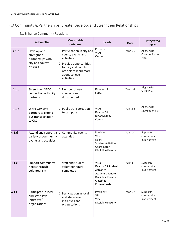# 4.0 Community & Partnerships: Create, Develop, and Strengthen Relationships

|       | <b>Action Step</b>                                                             | <b>Measurable</b><br>outcome                                                                                                                                                 | <b>Leads</b>                                                                                                            | <b>Date</b> | Integrated<br><b>Plans</b>           |
|-------|--------------------------------------------------------------------------------|------------------------------------------------------------------------------------------------------------------------------------------------------------------------------|-------------------------------------------------------------------------------------------------------------------------|-------------|--------------------------------------|
| 4.1.a | Develop and<br>strengthen<br>partnerships with<br>city and county<br>officials | 1. Participation in city and<br>county events and<br>activities<br>2. Provide opportunities<br>for city and county<br>officials to learn more<br>about college<br>activities | President<br><b>VPAS</b><br>Outreach                                                                                    | Year 1-2    | Aligns with<br>Communication<br>Plan |
| 4.1.b | Strengthen SBDC<br>connection with city<br>partners                            | 1. Number of new<br>connections<br>documented                                                                                                                                | Director of<br><b>SBDC</b>                                                                                              | Year $1-4$  | Aligns with<br><b>SBDC Plan</b>      |
| 4.1.c | Work with city<br>partners to extend<br>bus transportation<br>to CCC           | 1. Public transportation<br>to campuses                                                                                                                                      | <b>VPAS</b><br>Dean of SS<br>Dir of Mktg &<br>Comm                                                                      | Year 2-3    | Aligns with<br>SEA/Equity Plan       |
| 4.1.d | Attend and support a<br>variety of community<br>events and activities          | 1. Community events<br>attended                                                                                                                                              | President<br><b>VPs</b><br>Deans<br><b>Student Activities</b><br>Coordinator<br>Discipline Faculty                      | Year 1-4    | Supports<br>community<br>involvement |
| 4.1.e | Support community<br>needs through<br>volunteerism                             | 1. Staff and student<br>volunteer hours<br>completed                                                                                                                         | <b>VPSS</b><br>Dean of SS Student<br>Activities<br>Academic Senate<br>Discipline Faculty<br>Classified<br>Professionals | Year 2-4    | Supports<br>community<br>involvement |
| 4.1.f | Participate in local<br>and state-level<br>initiatives/<br>organizations       | 1. Participation in local<br>and state-level<br>initiatives and<br>organizations                                                                                             | President<br>VPI<br><b>VPSS</b><br>Discipline Faculty                                                                   | Year 1-4    | Supports<br>community<br>involvement |

# 4.1 Enhance Community Relations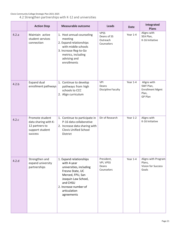|       | <b>Action Step</b>                                                                      | <b>Measurable outcome</b>                                                                                                                                                                           | Leads                                                | <b>Date</b> | Integrated<br><b>Plans</b>                                             |
|-------|-----------------------------------------------------------------------------------------|-----------------------------------------------------------------------------------------------------------------------------------------------------------------------------------------------------|------------------------------------------------------|-------------|------------------------------------------------------------------------|
| 4.2.a | Maintain active<br>student services<br>connection                                       | 1. Host annual counseling<br>meeting<br>2. Expand relationships<br>with middle schools<br>3. Increase Reg-to-Go<br>metrics, including<br>advising and<br>enrollments                                | <b>VPSS</b><br>Deans of SS<br>Outreach<br>Counselors | Year 1-4    | Aligns with<br>SEA Plan,<br>K-16 Initiative                            |
| 4.2.b | <b>Expand dual</b><br>enrollment pathways                                               | 1. Continue to develop<br>pathways from high<br>schools to CCC<br>2. Align curriculum                                                                                                               | VPI<br>Deans<br>Discipline Faculty                   | Year 1-4    | Aligns with<br>SWF Plan,<br><b>Enrollment Mgmt</b><br>Plan,<br>GP Plan |
| 4.2.c | Promote student<br>data sharing with K-<br>12 partners to<br>support student<br>success | 1. Continue to participate in<br>P-16 data collaborative<br>2. Increase data sharing with<br><b>Clovis Unified School</b><br>District                                                               | Dir of Research                                      | Year 1-2    | Aligns with<br>K-16 Initiative                                         |
| 4.2.d | Strengthen and<br>expand university<br>partnerships                                     | 1. Expand relationships<br>with 4-year<br>universities, including<br>Fresno State, UC<br>Merced, FPU, San<br>Joaquin Law School,<br>and CHSU<br>2. Increase number of<br>articulation<br>agreements | President,<br>VPI, VPSS<br>Deans<br>Counselors       | Year 1-4    | Aligns with Program<br>Plans,<br>Vision for Success<br>Goals           |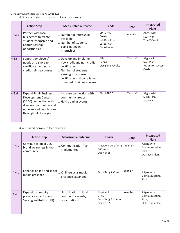Clovis Community College Strategic Plan 2021-2025

4.3 Foster relationships with local businesses

|       | <b>Action Step</b>                                                                                                                                          | <b>Measurable outcome</b>                                                                                                                                                          | Leads                                                            | <b>Date</b> | Integrated<br><b>Plans</b>                              |
|-------|-------------------------------------------------------------------------------------------------------------------------------------------------------------|------------------------------------------------------------------------------------------------------------------------------------------------------------------------------------|------------------------------------------------------------------|-------------|---------------------------------------------------------|
| 4.3.a | Partner with local<br>businesses to create<br>student internship and<br>apprenticeship<br>opportunities                                                     | 1. Number of internships<br>available<br>2. Number of students<br>participating in<br>internships                                                                                  | VPI, VPSS<br>Deans<br>Job Developer<br>Career Ctr<br>Coordinator | Year 1-4    | Aligns with<br>SWF Plan,<br><b>Title V Grant</b>        |
| 4.3.c | Support employers'<br>needs thru short-term<br>certificates and non-<br>credit training courses                                                             | 1. Develop and implement<br>new credit and non-credit<br>certificates<br>2. Number of students<br>earning short-term<br>certificates and completing<br>non-credit training courses | VPI<br>Deans<br><b>Discipline Faculty</b>                        | Year 1-4    | Aligns with<br>SWF Plan,<br>Vision for Success<br>Goals |
| 4.3.d | <b>Expand Small Business</b><br>Development Center<br>(SBDC) connection with<br>diverse communities and<br>underserved populations<br>throughout the region | 1. Increase connection with<br>community groups<br>2. Hold training events                                                                                                         | Dir of SBDC                                                      | Year $1-4$  | Aligns with<br>SBDC Plan,<br>SWF Plan                   |

# 4.4 Expand community presence

|       | <b>Action Step</b>                                                             | <b>Measurable outcome</b>                                       | Leads                                                       | <b>Date</b> | Integrated<br><b>Plans</b>                               |
|-------|--------------------------------------------------------------------------------|-----------------------------------------------------------------|-------------------------------------------------------------|-------------|----------------------------------------------------------|
| 4.4.a | Continue to build CCC<br>brand awareness in the<br>community                   | 1. Communication Plan<br>implemented                            | President Dir of Mtg<br>& Comm<br>Dean of SS                | Year 1-4    | Aligns with<br>Communication<br>Plan,<br>Outreach Plan   |
| 4.4.b | Enhance online and social<br>media presence                                    | 1. Online/social media<br>presence expanded                     | Dir of Mtg & Comm                                           | Year 1-4    | Aligns with<br>Communication<br>Plan                     |
| 4.4.c | <b>Expand community</b><br>presence as a Hispanic<br>Serving Institution (HSI) | 1. Participation in local<br>community events/<br>organizations | President<br><b>VPSS</b><br>Dir of Mtg & Comm<br>Dean of SS | Year 1-4    | Aligns with<br>Communication<br>Plan,<br>SEA/Equity Plan |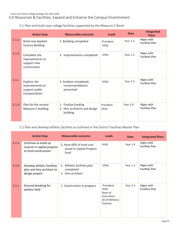5.1 Plan and build new college facilities supported by the Measure C Bond

|       | <b>Action Step</b>                                                  | Measurable outcome                                               | <b>Leads</b>             | <b>Date</b> | <b>Integrated</b><br><b>Plans</b>     |
|-------|---------------------------------------------------------------------|------------------------------------------------------------------|--------------------------|-------------|---------------------------------------|
| 5.1.a | <b>Build new Applied</b><br><b>Science Building</b>                 | 1. Building completed                                            | President<br><b>VPAS</b> | Year 1-3    | Aligns with<br><b>Facilities Plan</b> |
| 5.1.b | Complete site<br>improvements to<br>support new<br>construction     | 1. Improvements completed                                        | <b>VPAS</b>              | Year 1-2    | Aligns with<br><b>Facilities Plan</b> |
| 5.1.c | Explore site<br>improvements to<br>support public<br>transportation | 1. Analysis completed;<br>recommendations<br>presented           | <b>VPAS</b>              | Year 2-3    | Aligns with<br><b>Facilities Plan</b> |
| 5.1.d | Plan for the second<br>Measure C building                           | 1. Finalize funding<br>2. Hire architects and design<br>building | President<br><b>VPAS</b> | Year 2-4    | Aligns with<br><b>Facilities Plan</b> |

# 5.2 Plan and develop athletic facilities as outlined in the District Facilities Master Plan

|       | <b>Action Step</b>                                                          | <b>Measurable outcome</b>                                      | <b>Leads</b>                                                                      | <b>Date</b> | <b>Integrated Plans</b>               |
|-------|-----------------------------------------------------------------------------|----------------------------------------------------------------|-----------------------------------------------------------------------------------|-------------|---------------------------------------|
| 5.2.a | Continue to build up<br>reserve in capital projects<br>to fund construction | 1. Have 60% of total cost<br>saved in Capital Projects<br>fund | <b>VPAS</b>                                                                       | Year $1-4$  | Aligns with<br><b>Facilities Plan</b> |
| 5.2.b | Develop athletic facilities<br>plan and hire architect to<br>design project | 1. Athletic facilities plan<br>completed<br>2. Hire architect  | <b>VPAS</b>                                                                       | Year 1-2    | Aligns with<br><b>Facilities Plan</b> |
| 5.2.c | Ground-breaking for<br>athletic field                                       | 1. Construction in progress                                    | President<br><b>VPAS</b><br>Dean of<br>Instruction<br>Dir of Athletics<br>Coaches | Year 2-3    | Aligns with<br><b>Facilities Plan</b> |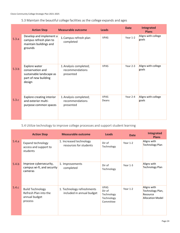## 5.3 Maintain the beautiful college facilities as the college expands and ages

|       | <b>Action Step</b>                                                                              | <b>Measurable outcome</b>                              | <b>Leads</b>         | <b>Date</b> | Integrated<br><b>Plans</b>   |
|-------|-------------------------------------------------------------------------------------------------|--------------------------------------------------------|----------------------|-------------|------------------------------|
| 5.3.a | Develop and implement a<br>campus refresh plan to<br>maintain buildings and<br>grounds          | 1. Campus refresh plan<br>completed                    | <b>VPAS</b>          | Year 1-2    | Aligns with college<br>goals |
| 5.3.b | Explore water<br>conservation and<br>sustainable landscape as<br>part of new building<br>design | 1. Analysis completed;<br>recommendations<br>presented | <b>VPAS</b>          | Year 2-3    | Aligns with college<br>goals |
| 5.3.c | <b>Explore creating interior</b><br>and exterior multi-<br>purpose common spaces                | 1. Analysis completed;<br>recommendations<br>presented | <b>VPAS</b><br>Deans | Year 2-4    | Aligns with college<br>goals |

# 5.4 Utilize technology to improve college processes and support student learning

|       | <b>Action Step</b>                                                           | <b>Measurable outcome</b>                               | <b>Leads</b>                                                   | <b>Date</b> | <b>Integrated</b><br><b>Plans</b>                                      |
|-------|------------------------------------------------------------------------------|---------------------------------------------------------|----------------------------------------------------------------|-------------|------------------------------------------------------------------------|
| 5.4.a | <b>Expand technology</b><br>access and support to<br>students                | 1. Increased technology<br>resources for students       | Dir of<br>Technology                                           | Year 1-2    | Aligns with<br>Technology Plan                                         |
| 5.4.b | Improve cybersecurity,<br>campus wi-fi, and security<br>cameras              | 1. Improvements<br>completed                            | Dir of<br>Technology                                           | Year 1-3    | Aligns with<br>Technology Plan                                         |
| 5.4.c | <b>Build Technology</b><br>Refresh Plan into the<br>annual budget<br>process | 1. Technology refreshments<br>included in annual budget | <b>VPAS</b><br>Dir of<br>Technology<br>Technology<br>Committee | Year 1-2    | Aligns with<br>Technology Plan,<br>Resource<br><b>Allocation Model</b> |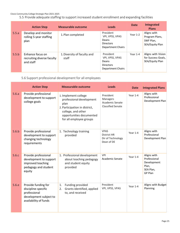5.5 Provide adequate staffing to support increased student enrollment and expanding facilities

|       | <b>Action Step</b>                                          | <b>Measurable outcome</b>            | <b>Leads</b>                                                                          | <b>Date</b> | <b>Integrated</b><br><b>Plans</b>                             |
|-------|-------------------------------------------------------------|--------------------------------------|---------------------------------------------------------------------------------------|-------------|---------------------------------------------------------------|
| 5.5.a | Develop and monitor<br>rolling 5-year staffing<br>plan      | 1. Plan completed                    | President<br>VPI, VPSS, VPAS<br>Deans<br><b>Directors</b><br><b>Department Chairs</b> | Year 1-2    | Aligns with<br>Program Plans,<br>SWF Plan.<br>SEA/Equity Plan |
| 5.5.b | Enhance focus on<br>recruiting diverse faculty<br>and staff | 1. Diversity of faculty and<br>staff | President<br>VPI, VPSS, VPAS<br>Deans<br><b>Directors</b><br><b>Department Chairs</b> | Year 1-4    | Aligns with Vision<br>for Success Goals,<br>SEA/Equity Plan   |

5.6 Support professional development for all employees

|       | <b>Action Step</b>                                                                                            | <b>Measurable outcome</b>                                                                                                                                              | <b>Leads</b>                                                         | <b>Date</b> | <b>Integrated Plans</b>                                                     |
|-------|---------------------------------------------------------------------------------------------------------------|------------------------------------------------------------------------------------------------------------------------------------------------------------------------|----------------------------------------------------------------------|-------------|-----------------------------------------------------------------------------|
| 5.6.a | Provide professional<br>development to support<br>college goals                                               | 1. Implement college<br>professional development<br>plan<br>2. Participation in district,<br>college, and other<br>opportunities documented<br>for all employee groups | President<br>Managers<br>Academic Senate<br><b>Classified Senate</b> | Year 1-4    | Aligns with<br>Professional<br>Development Plan                             |
| 5.6.b | Provide professional<br>development to support<br>changing technology<br>requirements                         | 1. Technology training<br>provided                                                                                                                                     | <b>VPAS</b><br><b>District HR</b><br>Dir of Technology<br>Dean of DE | Year 1-4    | Aligns with<br>Professional<br>Development Plan                             |
| 5.6.c | Provide professional<br>development to support<br>improved teaching<br>pedagogy and student<br>equity         | 1. Professional development<br>about teaching pedagogy<br>and student equity<br>provided                                                                               | <b>VPI</b><br>Academic Senate                                        | Year 1-4    | Aligns with<br>Professional<br>Development<br>Plan,<br>SEA Plan,<br>GP Plan |
| 5.6.e | Provide funding for<br>discipline-specific<br>professional<br>development subject to<br>availability of funds | Funding provided<br>1.<br>Grants identified, applied<br>2.<br>to, and received                                                                                         | President<br>VPI, VPSS, VPAS                                         | Year 1-4    | Aligns with Budget<br>Planning                                              |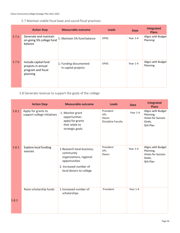5.7 Maintain stable fiscal base and sound fiscal practices

|       | <b>Action Step</b>                                                           | <b>Measurable outcome</b>                    | <b>Leads</b> | <b>Date</b> | <b>Integrated</b><br><b>Plans</b> |
|-------|------------------------------------------------------------------------------|----------------------------------------------|--------------|-------------|-----------------------------------|
| 5.7.a | Generate and maintain<br>on-going 5% college fund<br>balance                 | 1. Maintain 5% fund balance                  | <b>VPAS</b>  | Year 1-4    | Aligns with Budget<br>Planning    |
| 5.7.b | Include capital fund<br>projects in annual<br>program and fiscal<br>planning | 1. Funding documented<br>in capital projects | <b>VPAS</b>  | Year 1-4    | Aligns with Budget<br>Planning    |

# 5.8 Generate revenue to support the goals of the college

|       | <b>Action Step</b>                                 | <b>Measurable outcome</b>                                                                                                                 | <b>Leads</b>                                           | <b>Date</b> | Integrated<br><b>Plans</b>                                                         |
|-------|----------------------------------------------------|-------------------------------------------------------------------------------------------------------------------------------------------|--------------------------------------------------------|-------------|------------------------------------------------------------------------------------|
| 5.8.1 | Apply for grants to<br>support college initiatives | 1. Monitor grant<br>opportunities<br>apply for grants<br>that relate to<br>strategic goals                                                | President<br><b>VPs</b><br>Deans<br>Discipline Faculty | Year 1-4    | Aligns with Budget<br>Planning,<br>Vision for Success<br>Goals,<br>SEA Plan        |
| 5.8.2 | <b>Explore local funding</b><br>sources            | 1. Research local business,<br>community<br>organizations, regional<br>opportunities<br>2. Increased number of<br>local donors to college | President<br><b>VPs</b><br>Deans                       | Year 1-4    | Aligns with Budget<br>Planning,<br>Vision for Success<br>Goals,<br><b>SEA Plan</b> |
|       | Raise scholarship funds                            | 1. Increased number of<br>scholarships                                                                                                    | President                                              | Year 1-4    |                                                                                    |
| 5.8.3 |                                                    |                                                                                                                                           |                                                        |             |                                                                                    |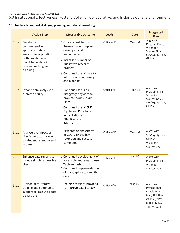6.0 Institutional Effectiveness: Foster a Collegial, Collaborative, and Inclusive College Environment

|  |  |  |  |  |  | 6.1 Use data to support dialogue, planning, and decision-making |
|--|--|--|--|--|--|-----------------------------------------------------------------|
|--|--|--|--|--|--|-----------------------------------------------------------------|

|       | <b>Action Step</b>                                                                                                                                                                                                                                                                                                                                                                          | <b>Measurable outcome</b>                                                                                                                                                                      | Leads        | <b>Date</b> | <b>Integrated</b><br>Plan                                                                                           |
|-------|---------------------------------------------------------------------------------------------------------------------------------------------------------------------------------------------------------------------------------------------------------------------------------------------------------------------------------------------------------------------------------------------|------------------------------------------------------------------------------------------------------------------------------------------------------------------------------------------------|--------------|-------------|---------------------------------------------------------------------------------------------------------------------|
| 6.1.a | 1. Office of Institutional<br>Develop a<br>comprehensive<br>Research agenda/plan<br>developed and<br>approach to data<br>implemented<br>analysis, incorporating<br>both qualitative and<br>2. Increased number of<br>quantitative data into<br>qualitative research<br>decision making and<br>projects<br>planning<br>3. Continued use of data to<br>inform decision making<br>and planning |                                                                                                                                                                                                | Office of IR | Year 1-2    | Aligns with<br>Program Plans,<br>Vision for<br>Success Goals,<br>SEA/Equity Plan,<br>GP Plan                        |
| 6.1.b | Expand data analysis to<br>promote equity                                                                                                                                                                                                                                                                                                                                                   | 1. Continued focus on<br>disaggregating data to<br>promote equity in UP<br>Plans.<br>2. Continued use of CUE<br><b>Equity and Data tools</b><br>in Institutional<br>Effectiveness<br>Advisory. | Office of IR | Year 1-2    | Aligns with<br>Program Plans,<br>Vision for<br>Success Goals,<br>SEA/Equity Plan,<br>GP Plan                        |
| 6.1.c | Analyze the impact of<br>significant external events<br>on student retention and<br>success                                                                                                                                                                                                                                                                                                 | 1. Research on the effects<br>of COVID on student<br>retention and success<br>completed                                                                                                        | Office of IR | Year 1-2    | Aligns with<br>SEA/Equity Plan,<br>GP Plan,<br>Vision for<br>Success Goals                                          |
| 6.1.d | Enhance data reports to<br>include simple, accessible<br>charts                                                                                                                                                                                                                                                                                                                             | 1. Continued development of<br>accessible and easy to use<br>Tableau dashboards<br>2. Continued implementation<br>of infographics to simplify<br>data                                          | Office of IR | Year 1-2    | Aligns with<br>Program Plans,<br>Vision for<br><b>Success Goals</b>                                                 |
| 6.1.e | Provide data literacy<br>training and continue to<br>support college wide data<br>discussions                                                                                                                                                                                                                                                                                               | 1. Training sessions provided<br>to improve data literacy                                                                                                                                      | Office of IR | Year 1-2    | Aligns with<br>Professional<br>Development<br>Plan, SEA Plan,<br>GP Plan, SWP,<br>K-16 Initiative,<br>Title V Grant |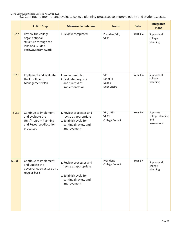Clovis Community College Strategic Plan 2021-2025 6.2 Continue to monitor and evaluate college planning processes to improve equity and student success

|       | <b>Action Step</b>                                                                                         | <b>Measurable outcome</b>                                                                                         | <b>Leads</b>                                    | <b>Date</b> | <b>Integrated</b><br><b>Plans</b>                 |
|-------|------------------------------------------------------------------------------------------------------------|-------------------------------------------------------------------------------------------------------------------|-------------------------------------------------|-------------|---------------------------------------------------|
| 6.2.a | Review the college<br>organizational<br>structure through the<br>lens of a Guided<br>Pathways framework    | 1. Review completed                                                                                               | President VPI,<br><b>VPSS</b>                   | Year 1-2    | Supports all<br>college<br>planning               |
| 6.2.b | Implement and evaluate<br>the Enrollment<br>Management Plan                                                | 1. Implement plan<br>2. Evaluate progress<br>and success of<br>implementation                                     | <b>VPI</b><br>Dir of IR<br>Deans<br>Dept Chairs | Year 1-4    | Supports all<br>college<br>planning               |
| 6.2.c | Continue to implement<br>and evaluate the<br>Unit/Program Planning<br>and Resource Allocation<br>processes | 1. Review processes and<br>revise as appropriate<br>2. Establish cycle for<br>continual review and<br>improvement | VPI, VPSS<br><b>VPAS</b><br>College Council     | Year 1-4    | Supports<br>college planning<br>and<br>assessment |
| 6.2.d | Continue to implement<br>and update the<br>governance structure on a<br>regular basis                      | 1. Review processes and<br>revise as appropriate<br>2. Establish cycle for<br>continual review and<br>improvement | President<br>College Council                    | Year 1-4    | Supports all<br>college<br>planning               |